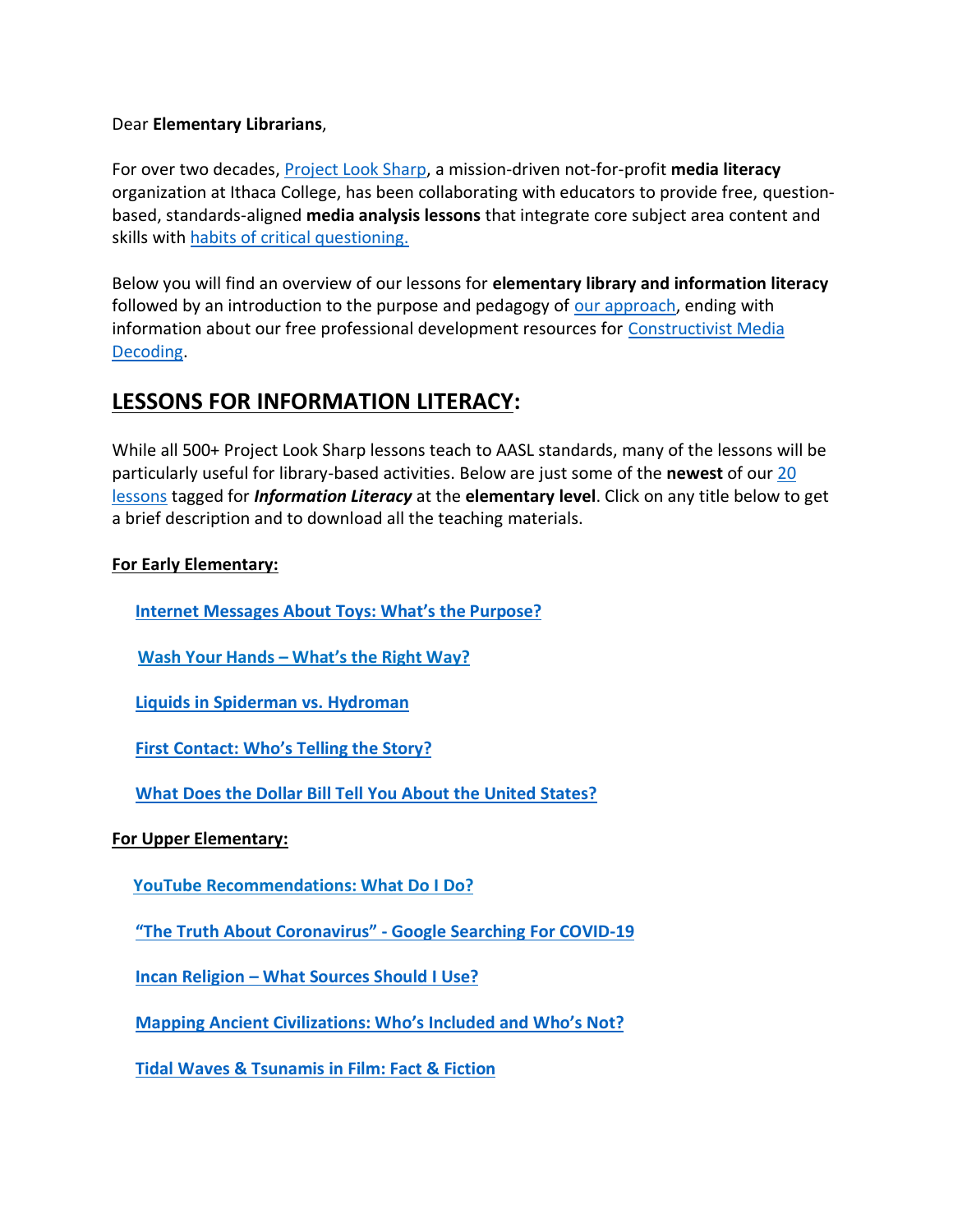#### Dear **Elementary Librarians**,

For over two decades, [Project Look Sharp,](https://www.projectlooksharp.org/) a mission-driven not-for-profit **media literacy** organization at Ithaca College, has been collaborating with educators to provide free, questionbased, standards-aligned **media analysis lessons** that integrate core subject area content and skills with [habits of critical questioning.](https://projectlooksharp.org/Resources%202/Key-Questions-for-Decoding%20Dec-21.pdf)

Below you will find an overview of our lessons for **elementary library and information literacy** followed by an introduction to the purpose and pedagogy of [our approach,](https://projectlooksharp.org/our-approach.php) ending with information about our free professional development resources for [Constructivist Media](https://projectlooksharp.org/our-approach.php#Constructivist)  [Decoding.](https://projectlooksharp.org/our-approach.php#Constructivist)

### **LESSONS FOR INFORMATION LITERACY:**

While all 500+ Project Look Sharp lessons teach to AASL standards, many of the lessons will be particularly useful for library-based activities. Below are just some of the **newest** of our [20](https://projectlooksharp.org/search-result.php?limit=10&search%5Bkeyword%5D=%22information+literacy%22&search%5Bcategory%5D=lessons&search_filter%5Bresource_grade_level%5D%5B%5D=lower+elementary&search_filter%5Bresource_grade_level%5D%5B%5D=upper+elementary)  [lessons](https://projectlooksharp.org/search-result.php?limit=10&search%5Bkeyword%5D=%22information+literacy%22&search%5Bcategory%5D=lessons&search_filter%5Bresource_grade_level%5D%5B%5D=lower+elementary&search_filter%5Bresource_grade_level%5D%5B%5D=upper+elementary) tagged for *Information Literacy* at the **elementary level**. Click on any title below to get a brief description and to download all the teaching materials.

### **For Early Elementary:**

 **Internet [Messages](https://www.projectlooksharp.org/front_end_resource.php?resource_id=533) About Toys: What's the Purpose?**

**Wash Your Hands – [What's](https://www.projectlooksharp.org/front_end_resource.php?resource_id=502) the Right Way?**

 **Liquids in [Spiderman](https://www.projectlooksharp.org/front_end_resource.php?resource_id=434) vs. Hydroman**

 **First [Contact:](https://www.projectlooksharp.org/front_end_resource.php?resource_id=494) Who's Telling the Story?**

 **What Does the Dollar Bill Tell You About the United [States?](https://www.projectlooksharp.org/front_end_resource.php?resource_id=567)**

#### **For Upper Elementary:**

**YouTube [Recommendations:](https://www.projectlooksharp.org/front_end_resource.php?resource_id=486) What Do I Do?**

 **"The Truth About [Coronavirus"](https://www.projectlooksharp.org/front_end_resource.php?resource_id=504) - Google Searching For COVID-19**

 **Incan [Religion](https://www.projectlooksharp.org/front_end_resource.php?resource_id=558) – What Sources Should I Use?**

 **Mapping Ancient [Civilizations:](https://www.projectlooksharp.org/front_end_resource.php?resource_id=562) Who's Included and Who's Not?**

 **Tidal Waves & [Tsunamis](https://www.projectlooksharp.org/front_end_resource.php?resource_id=432) in Film: Fact & Fiction**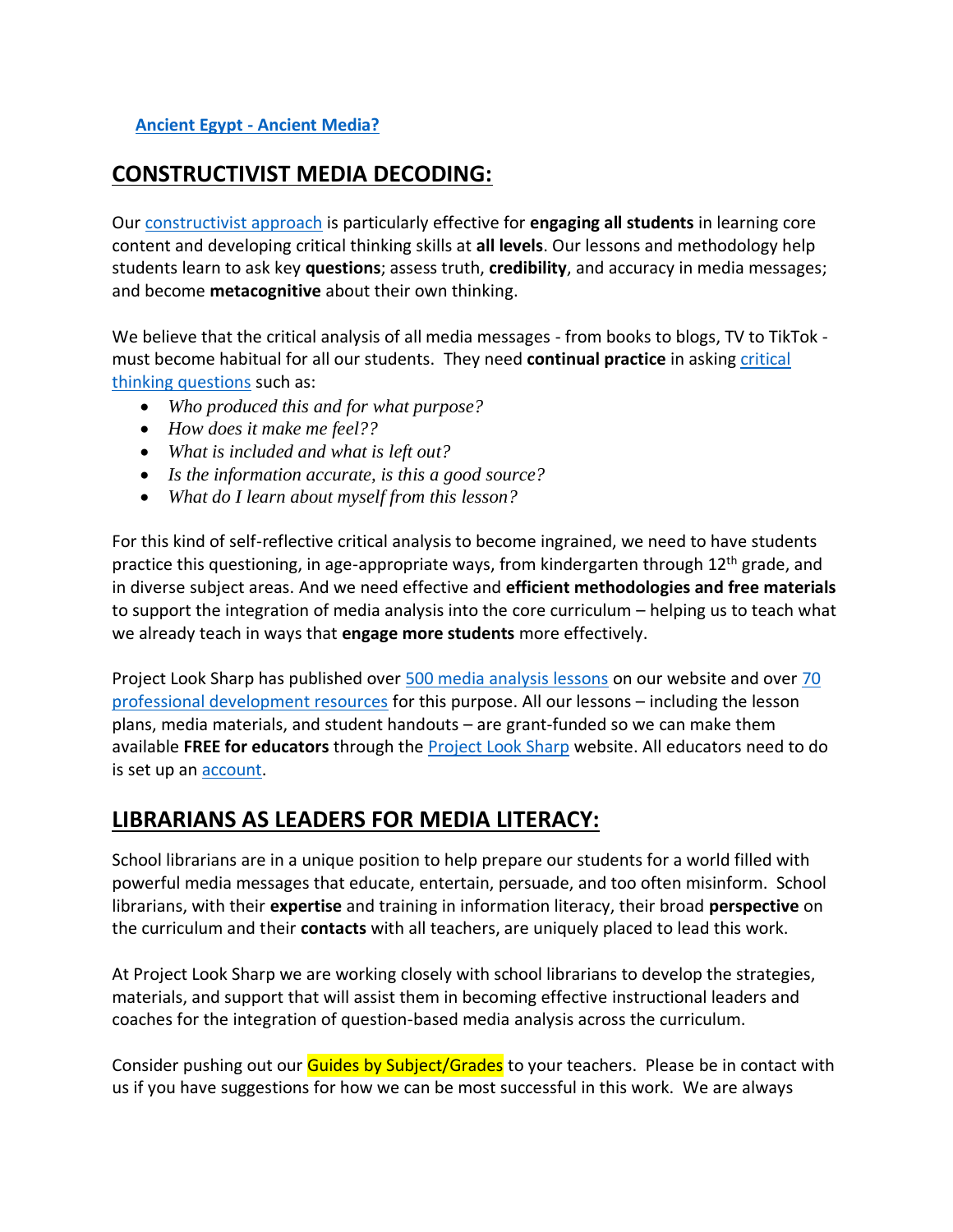### **[Ancient](https://www.projectlooksharp.org/front_end_resource.php?resource_id=556) Egypt - Ancient Media?**

## **CONSTRUCTIVIST MEDIA DECODING:**

Our [constructivist approach](https://projectlooksharp.org/our-approach.php) is particularly effective for **engaging all students** in learning core content and developing critical thinking skills at **all levels**. Our lessons and methodology help students learn to ask key **questions**; assess truth, **credibility**, and accuracy in media messages; and become **metacognitive** about their own thinking.

We believe that the critical analysis of all media messages - from books to blogs, TV to TikTok must become habitual for all our students. They need **continual practice** in askin[g critical](https://projectlooksharp.org/Resources%202/Project%20Look%20Sharp%20Key%20Questions%20Both.pdf)  [thinking questions](https://projectlooksharp.org/Resources%202/Project%20Look%20Sharp%20Key%20Questions%20Both.pdf) such as:

- *Who produced this and for what purpose?*
- *How does it make me feel??*
- *What is included and what is left out?*
- *Is the information accurate, is this a good source?*
- *What do I learn about myself from this lesson?*

For this kind of self-reflective critical analysis to become ingrained, we need to have students practice this questioning, in age-appropriate ways, from kindergarten through 12<sup>th</sup> grade, and in diverse subject areas. And we need effective and **efficient methodologies and free materials** to support the integration of media analysis into the core curriculum – helping us to teach what we already teach in ways that **engage more students** more effectively.

Project Look Sharp has published over [500 media analysis lessons](https://www.projectlooksharp.org/search-result.php?search%5Bkeyword%5D=&search%5Bcategory%5D=lessons) on our website and over 70 [professional development resources](https://www.projectlooksharp.org/search-result.php?search%5Bkeyword%5D=&search%5Bcategory%5D=PD) for this purpose. All our lessons – including the lesson plans, media materials, and student handouts – are grant-funded so we can make them available **FREE for educators** through the [Project Look Sharp](https://projectlooksharp.org/index.php) website. All educators need to do is set up an **account**.

# **LIBRARIANS AS LEADERS FOR MEDIA LITERACY:**

School librarians are in a unique position to help prepare our students for a world filled with powerful media messages that educate, entertain, persuade, and too often misinform. School librarians, with their **expertise** and training in information literacy, their broad **perspective** on the curriculum and their **contacts** with all teachers, are uniquely placed to lead this work.

At Project Look Sharp we are working closely with school librarians to develop the strategies, materials, and support that will assist them in becoming effective instructional leaders and coaches for the integration of question-based media analysis across the curriculum.

Consider pushing out our Guides by Subject/Grades to your teachers. Please be in contact with us if you have suggestions for how we can be most successful in this work. We are always